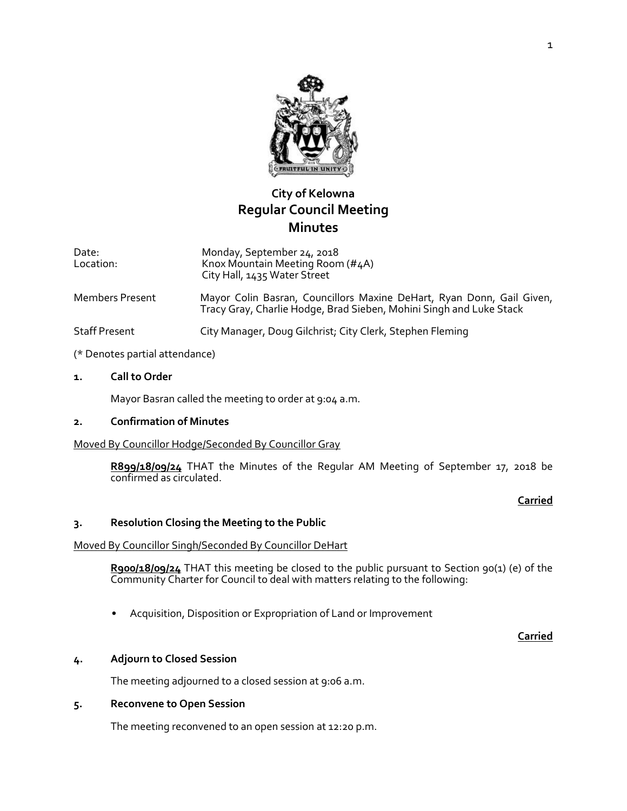

# **City of Kelowna Regular Council Meeting Minutes**

Date: Location: Monday, September 24, 2018 Knox Mountain Meeting Room (#4A) City Hall, 1435 Water Street

Members Present Mayor Colin Basran, Councillors Maxine DeHart, Ryan Donn, Gail Given, Tracy Gray, Charlie Hodge, Brad Sieben, Mohini Singh and Luke Stack

Staff Present City Manager, Doug Gilchrist; City Clerk, Stephen Fleming

- (\* Denotes partial attendance)
- **1. Call to Order**

Mayor Basran called the meeting to order at 9:04 a.m.

#### **2. Confirmation of Minutes**

#### Moved By Councillor Hodge/Seconded By Councillor Gray

**R899/18/09/24** THAT the Minutes of the Regular AM Meeting of September 17, 2018 be confirmed as circulated.

#### **Carried**

#### **3. Resolution Closing the Meeting to the Public**

#### Moved By Councillor Singh/Seconded By Councillor DeHart

**R900/18/09/24** THAT this meeting be closed to the public pursuant to Section 90(1) (e) of the Community Charter for Council to deal with matters relating to the following:

• Acquisition, Disposition or Expropriation of Land or Improvement

#### **Carried**

#### **4. Adjourn to Closed Session**

The meeting adjourned to a closed session at 9:06 a.m.

#### **5. Reconvene to Open Session**

The meeting reconvened to an open session at 12:20 p.m.